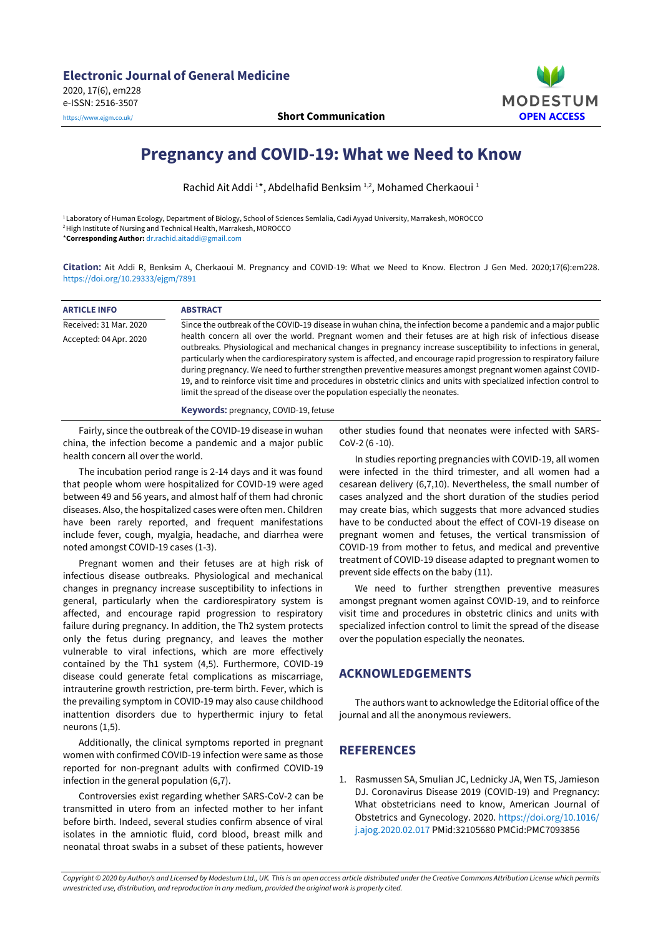

## **Pregnancy and COVID-19: What we Need to Know**

Rachid Ait Addi<sup>1\*</sup>, Abdelhafid Benksim<sup>1,2</sup>, Mohamed Cherkaoui<sup>1</sup>

<sup>1</sup> Laboratory of Human Ecology, Department of Biology, School of Sciences Semlalia, Cadi Ayyad University, Marrakesh, MOROCCO <sup>2</sup>High Institute of Nursing and Technical Health, Marrakesh, MOROCCO

\***Corresponding Author:** [dr.rachid.aitaddi@gmail.com](mailto:dr.rachid.aitaddi@gmail.com)

**Citation:** Ait Addi R, Benksim A, Cherkaoui M. Pregnancy and COVID-19: What we Need to Know. Electron J Gen Med. 2020;17(6):em228. <https://doi.org/10.29333/ejgm/7891>

| <b>ARTICLE INFO</b>    | <b>ABSTRACT</b>                                                                                                                                                                                                                                                                                                                                                                                                                                                                                                                                                                                                                                                        |
|------------------------|------------------------------------------------------------------------------------------------------------------------------------------------------------------------------------------------------------------------------------------------------------------------------------------------------------------------------------------------------------------------------------------------------------------------------------------------------------------------------------------------------------------------------------------------------------------------------------------------------------------------------------------------------------------------|
| Received: 31 Mar. 2020 | Since the outbreak of the COVID-19 disease in wuhan china, the infection become a pandemic and a major public                                                                                                                                                                                                                                                                                                                                                                                                                                                                                                                                                          |
| Accepted: 04 Apr. 2020 | health concern all over the world. Pregnant women and their fetuses are at high risk of infectious disease<br>outbreaks. Physiological and mechanical changes in pregnancy increase susceptibility to infections in general,<br>particularly when the cardiorespiratory system is affected, and encourage rapid progression to respiratory failure<br>during pregnancy. We need to further strengthen preventive measures amongst pregnant women against COVID-<br>19, and to reinforce visit time and procedures in obstetric clinics and units with specialized infection control to<br>limit the spread of the disease over the population especially the neonates. |
|                        | <b>Keywords: pregnancy, COVID-19, fetuse</b>                                                                                                                                                                                                                                                                                                                                                                                                                                                                                                                                                                                                                           |

Fairly, since the outbreak of the COVID-19 disease in wuhan china, the infection become a pandemic and a major public health concern all over the world.

The incubation period range is 2-14 days and it was found that people whom were hospitalized for COVID-19 were aged between 49 and 56 years, and almost half of them had chronic diseases. Also, the hospitalized cases were often men. Children have been rarely reported, and frequent manifestations include fever, cough, myalgia, headache, and diarrhea were noted amongst COVID-19 cases (1-3).

Pregnant women and their fetuses are at high risk of infectious disease outbreaks. Physiological and mechanical changes in pregnancy increase susceptibility to infections in general, particularly when the cardiorespiratory system is affected, and encourage rapid progression to respiratory failure during pregnancy. In addition, the Th2 system protects only the fetus during pregnancy, and leaves the mother vulnerable to viral infections, which are more effectively contained by the Th1 system (4,5). Furthermore, COVID-19 disease could generate fetal complications as miscarriage, intrauterine growth restriction, pre-term birth. Fever, which is the prevailing symptom in COVID-19 may also cause childhood inattention disorders due to hyperthermic injury to fetal neurons (1,5).

Additionally, the clinical symptoms reported in pregnant women with confirmed COVID-19 infection were same as those reported for non-pregnant adults with confirmed COVID-19 infection in the general population (6,7).

Controversies exist regarding whether SARS-CoV-2 can be transmitted in utero from an infected mother to her infant before birth. Indeed, several studies confirm absence of viral isolates in the amniotic fluid, cord blood, breast milk and neonatal throat swabs in a subset of these patients, however

other studies found that neonates were infected with SARS-CoV-2 (6 -10).

In studies reporting pregnancies with COVID-19, all women were infected in the third trimester, and all women had a cesarean delivery (6,7,10). Nevertheless, the small number of cases analyzed and the short duration of the studies period may create bias, which suggests that more advanced studies have to be conducted about the effect of COVI-19 disease on pregnant women and fetuses, the vertical transmission of COVID-19 from mother to fetus, and medical and preventive treatment of COVID-19 disease adapted to pregnant women to prevent side effects on the baby (11).

We need to further strengthen preventive measures amongst pregnant women against COVID-19, and to reinforce visit time and procedures in obstetric clinics and units with specialized infection control to limit the spread of the disease over the population especially the neonates.

## **ACKNOWLEDGEMENTS**

The authors want to acknowledge the Editorial office of the journal and all the anonymous reviewers.

## **REFERENCES**

1. Rasmussen SA, Smulian JC, Lednicky JA, Wen TS, Jamieson DJ. Coronavirus Disease 2019 (COVID-19) and Pregnancy: What obstetricians need to know, American Journal of Obstetrics and Gynecology. 2020. [https://doi.org/10.1016/](https://doi.org/10.1016/j.ajog.2020.02.017) [j.ajog.2020.02.017](https://doi.org/10.1016/j.ajog.2020.02.017) PMid:32105680 PMCid:PMC7093856

Copyright © 2020 by Author/s and Licensed by Modestum Ltd., UK. This is an open access article distributed under the Creative Commons Attribution License which permits *unrestricted use, distribution, and reproduction in any medium, provided the original work is properly cited.*